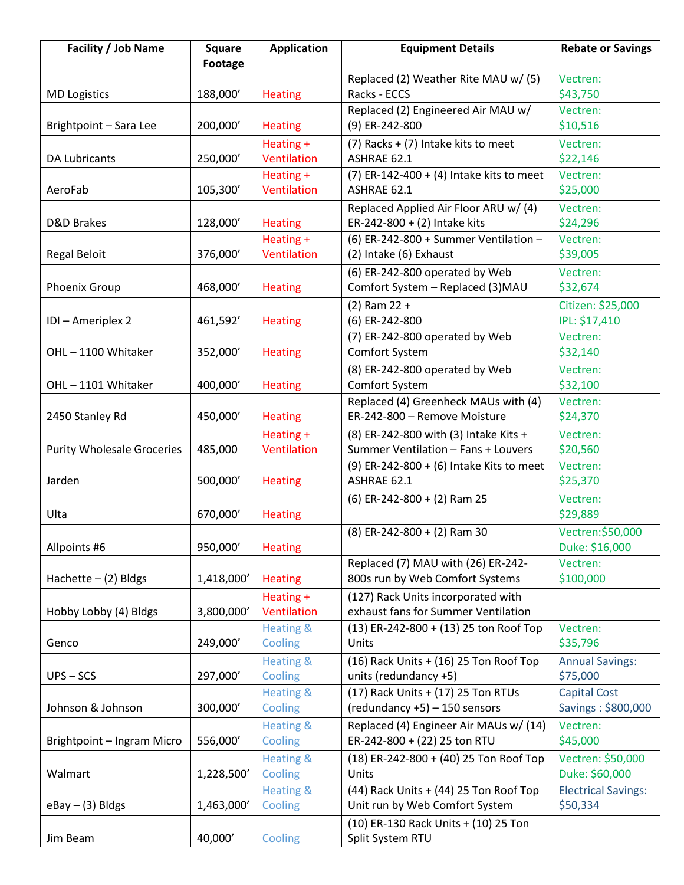| <b>Facility / Job Name</b>        | <b>Square</b><br><b>Footage</b> | <b>Application</b>              | <b>Equipment Details</b>                                    | <b>Rebate or Savings</b>           |
|-----------------------------------|---------------------------------|---------------------------------|-------------------------------------------------------------|------------------------------------|
|                                   |                                 |                                 | Replaced (2) Weather Rite MAU w/ (5)                        | Vectren:                           |
| <b>MD Logistics</b>               | 188,000'                        | <b>Heating</b>                  | Racks - ECCS                                                | \$43,750                           |
|                                   |                                 |                                 | Replaced (2) Engineered Air MAU w/                          | Vectren:                           |
| Brightpoint - Sara Lee            | 200,000'                        | <b>Heating</b>                  | (9) ER-242-800                                              | \$10,516                           |
|                                   |                                 | Heating +                       | (7) Racks + (7) Intake kits to meet                         | Vectren:                           |
| <b>DA Lubricants</b>              | 250,000'                        | Ventilation                     | ASHRAE 62.1                                                 | \$22,146                           |
|                                   |                                 | Heating +                       | (7) ER-142-400 + (4) Intake kits to meet                    | Vectren:                           |
| AeroFab                           | 105,300'                        | Ventilation                     | ASHRAE 62.1                                                 | \$25,000                           |
|                                   |                                 |                                 | Replaced Applied Air Floor ARU w/ (4)                       | Vectren:                           |
| D&D Brakes                        | 128,000'                        | <b>Heating</b>                  | ER-242-800 + (2) Intake kits                                | \$24,296                           |
|                                   |                                 | Heating +                       | (6) ER-242-800 + Summer Ventilation $-$                     | Vectren:                           |
| <b>Regal Beloit</b>               | 376,000'                        | Ventilation                     | (2) Intake (6) Exhaust                                      | \$39,005                           |
|                                   |                                 |                                 | (6) ER-242-800 operated by Web                              | Vectren:                           |
| Phoenix Group                     | 468,000'                        | <b>Heating</b>                  | Comfort System - Replaced (3) MAU                           | \$32,674                           |
|                                   |                                 |                                 | $(2)$ Ram 22 +                                              | Citizen: \$25,000                  |
| IDI - Ameriplex 2                 | 461,592'                        | <b>Heating</b>                  | (6) ER-242-800                                              | IPL: \$17,410                      |
|                                   |                                 |                                 | (7) ER-242-800 operated by Web                              | Vectren:                           |
| OHL-1100 Whitaker                 | 352,000'                        | <b>Heating</b>                  | Comfort System                                              | \$32,140                           |
|                                   |                                 |                                 | (8) ER-242-800 operated by Web                              | Vectren:                           |
| OHL-1101 Whitaker                 | 400,000'                        | <b>Heating</b>                  | Comfort System                                              | \$32,100                           |
|                                   |                                 |                                 | Replaced (4) Greenheck MAUs with (4)                        | Vectren:                           |
| 2450 Stanley Rd                   | 450,000'                        | <b>Heating</b>                  | ER-242-800 - Remove Moisture                                | \$24,370                           |
|                                   |                                 | Heating +                       | (8) ER-242-800 with (3) Intake Kits +                       | Vectren:                           |
| <b>Purity Wholesale Groceries</b> | 485,000                         | Ventilation                     | Summer Ventilation - Fans + Louvers                         | \$20,560                           |
|                                   |                                 |                                 | (9) ER-242-800 + (6) Intake Kits to meet                    | Vectren:                           |
| Jarden                            | 500,000'                        | <b>Heating</b>                  | ASHRAE 62.1                                                 | \$25,370                           |
|                                   |                                 |                                 | $(6)$ ER-242-800 + (2) Ram 25                               | Vectren:                           |
| Ulta                              | 670,000'                        | <b>Heating</b>                  |                                                             | \$29,889                           |
|                                   |                                 |                                 | $(8)$ ER-242-800 + $(2)$ Ram 30                             | Vectren: \$50,000                  |
| Allpoints #6                      | 950,000'                        | <b>Heating</b>                  |                                                             | Duke: \$16,000                     |
|                                   |                                 |                                 | Replaced (7) MAU with (26) ER-242-                          | Vectren:                           |
| Hachette $-$ (2) Bldgs            | 1,418,000'                      | <b>Heating</b>                  | 800s run by Web Comfort Systems                             | \$100,000                          |
|                                   |                                 | Heating +                       | (127) Rack Units incorporated with                          |                                    |
| Hobby Lobby (4) Bldgs             | 3,800,000'                      | Ventilation                     | exhaust fans for Summer Ventilation                         |                                    |
|                                   |                                 | <b>Heating &amp;</b>            | (13) ER-242-800 + (13) 25 ton Roof Top                      | Vectren:                           |
| Genco                             | 249,000'                        | Cooling                         | Units                                                       | \$35,796                           |
|                                   |                                 | <b>Heating &amp;</b>            | (16) Rack Units + (16) 25 Ton Roof Top                      | <b>Annual Savings:</b><br>\$75,000 |
| $UPS - SCS$                       | 297,000'                        | Cooling<br><b>Heating &amp;</b> | units (redundancy +5)<br>(17) Rack Units + (17) 25 Ton RTUs | <b>Capital Cost</b>                |
| Johnson & Johnson                 | 300,000'                        | Cooling                         | (redundancy +5) - 150 sensors                               | Savings: \$800,000                 |
|                                   |                                 | <b>Heating &amp;</b>            | Replaced (4) Engineer Air MAUs w/ (14)                      | Vectren:                           |
| Brightpoint - Ingram Micro        | 556,000'                        | Cooling                         | ER-242-800 + (22) 25 ton RTU                                | \$45,000                           |
|                                   |                                 | <b>Heating &amp;</b>            | (18) ER-242-800 + (40) 25 Ton Roof Top                      | Vectren: \$50,000                  |
| Walmart                           | 1,228,500'                      | Cooling                         | Units                                                       | Duke: \$60,000                     |
|                                   |                                 | <b>Heating &amp;</b>            | (44) Rack Units + (44) 25 Ton Roof Top                      | <b>Electrical Savings:</b>         |
| $e$ Bay – (3) Bldgs               | 1,463,000'                      | Cooling                         | Unit run by Web Comfort System                              | \$50,334                           |
|                                   |                                 |                                 | (10) ER-130 Rack Units + (10) 25 Ton                        |                                    |
| Jim Beam                          | 40,000'                         | Cooling                         | Split System RTU                                            |                                    |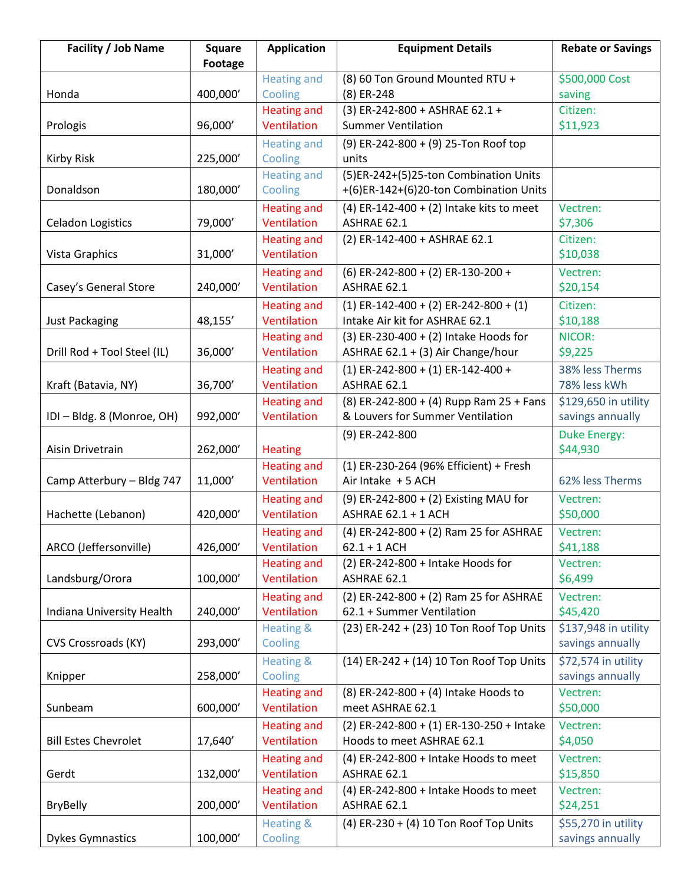| Facility / Job Name         | <b>Square</b>  | <b>Application</b>                | <b>Equipment Details</b>                                            | <b>Rebate or Savings</b> |
|-----------------------------|----------------|-----------------------------------|---------------------------------------------------------------------|--------------------------|
|                             | <b>Footage</b> |                                   |                                                                     |                          |
|                             |                | <b>Heating and</b>                | (8) 60 Ton Ground Mounted RTU +                                     | \$500,000 Cost           |
| Honda                       | 400,000'       | Cooling                           | (8) ER-248                                                          | saving                   |
|                             |                | <b>Heating and</b>                | (3) ER-242-800 + ASHRAE 62.1 +                                      | Citizen:                 |
| Prologis                    | 96,000'        | Ventilation                       | <b>Summer Ventilation</b>                                           | \$11,923                 |
|                             |                | <b>Heating and</b>                | (9) ER-242-800 + (9) 25-Ton Roof top                                |                          |
| Kirby Risk                  | 225,000'       | Cooling                           | units                                                               |                          |
|                             |                | <b>Heating and</b>                | (5)ER-242+(5)25-ton Combination Units                               |                          |
| Donaldson                   | 180,000'       | Cooling                           | +(6)ER-142+(6)20-ton Combination Units                              |                          |
|                             |                | <b>Heating and</b>                | (4) ER-142-400 + (2) Intake kits to meet                            | Vectren:                 |
| <b>Celadon Logistics</b>    | 79,000'        | Ventilation                       | ASHRAE 62.1                                                         | \$7,306                  |
|                             |                | <b>Heating and</b>                | (2) ER-142-400 + ASHRAE 62.1                                        | Citizen:                 |
| Vista Graphics              | 31,000'        | Ventilation                       |                                                                     | \$10,038                 |
|                             |                | <b>Heating and</b>                | (6) ER-242-800 + (2) ER-130-200 +                                   | Vectren:                 |
| Casey's General Store       | 240,000'       | Ventilation                       | ASHRAE 62.1                                                         | \$20,154                 |
|                             |                | <b>Heating and</b>                | $(1)$ ER-142-400 + (2) ER-242-800 + (1)                             | Citizen:                 |
| <b>Just Packaging</b>       | 48,155'        | Ventilation                       | Intake Air kit for ASHRAE 62.1                                      | \$10,188                 |
|                             |                | <b>Heating and</b>                | $(3)$ ER-230-400 + (2) Intake Hoods for                             | NICOR:                   |
| Drill Rod + Tool Steel (IL) | 36,000'        | Ventilation                       | ASHRAE 62.1 + (3) Air Change/hour                                   | \$9,225                  |
|                             |                | <b>Heating and</b>                | $(1)$ ER-242-800 + (1) ER-142-400 +                                 | 38% less Therms          |
| Kraft (Batavia, NY)         | 36,700'        | Ventilation                       | ASHRAE 62.1                                                         | 78% less kWh             |
|                             |                | <b>Heating and</b>                | (8) ER-242-800 + (4) Rupp Ram 25 + Fans                             | \$129,650 in utility     |
| IDI - Bldg. 8 (Monroe, OH)  | 992,000'       | Ventilation                       | & Louvers for Summer Ventilation                                    | savings annually         |
|                             |                |                                   | (9) ER-242-800                                                      | <b>Duke Energy:</b>      |
| Aisin Drivetrain            | 262,000'       | <b>Heating</b>                    |                                                                     | \$44,930                 |
| Camp Atterbury - Bldg 747   | 11,000'        | <b>Heating and</b><br>Ventilation | (1) ER-230-264 (96% Efficient) + Fresh<br>Air Intake + 5 ACH        | 62% less Therms          |
|                             |                |                                   |                                                                     |                          |
|                             | 420,000'       | <b>Heating and</b><br>Ventilation | (9) ER-242-800 + (2) Existing MAU for<br><b>ASHRAE 62.1 + 1 ACH</b> | Vectren:                 |
| Hachette (Lebanon)          |                |                                   |                                                                     | \$50,000                 |
| ARCO (Jeffersonville)       | 426,000'       | <b>Heating and</b><br>Ventilation | (4) ER-242-800 + (2) Ram 25 for ASHRAE<br>$62.1 + 1$ ACH            | Vectren:<br>\$41,188     |
|                             |                | <b>Heating and</b>                | (2) ER-242-800 + Intake Hoods for                                   | Vectren:                 |
| Landsburg/Orora             | 100,000'       | Ventilation                       | ASHRAE 62.1                                                         | \$6,499                  |
|                             |                | <b>Heating and</b>                | (2) ER-242-800 + (2) Ram 25 for ASHRAE                              | Vectren:                 |
| Indiana University Health   | 240,000'       | Ventilation                       | 62.1 + Summer Ventilation                                           | \$45,420                 |
|                             |                | Heating &                         | (23) ER-242 + (23) 10 Ton Roof Top Units                            | \$137,948 in utility     |
| CVS Crossroads (KY)         | 293,000'       | Cooling                           |                                                                     | savings annually         |
|                             |                | <b>Heating &amp;</b>              | (14) ER-242 + (14) 10 Ton Roof Top Units                            | \$72,574 in utility      |
| Knipper                     | 258,000'       | Cooling                           |                                                                     | savings annually         |
|                             |                | <b>Heating and</b>                | (8) ER-242-800 + (4) Intake Hoods to                                | Vectren:                 |
| Sunbeam                     | 600,000'       | Ventilation                       | meet ASHRAE 62.1                                                    | \$50,000                 |
|                             |                | <b>Heating and</b>                | (2) ER-242-800 + (1) ER-130-250 + Intake                            | Vectren:                 |
| <b>Bill Estes Chevrolet</b> | 17,640'        | Ventilation                       | Hoods to meet ASHRAE 62.1                                           | \$4,050                  |
|                             |                | <b>Heating and</b>                | (4) ER-242-800 + Intake Hoods to meet                               | Vectren:                 |
| Gerdt                       | 132,000'       | Ventilation                       | ASHRAE 62.1                                                         | \$15,850                 |
|                             |                | <b>Heating and</b>                | (4) ER-242-800 + Intake Hoods to meet                               | Vectren:                 |
| <b>BryBelly</b>             | 200,000'       | Ventilation                       | ASHRAE 62.1                                                         | \$24,251                 |
|                             |                | <b>Heating &amp;</b>              | (4) ER-230 + (4) 10 Ton Roof Top Units                              | \$55,270 in utility      |
| <b>Dykes Gymnastics</b>     | 100,000'       | Cooling                           |                                                                     | savings annually         |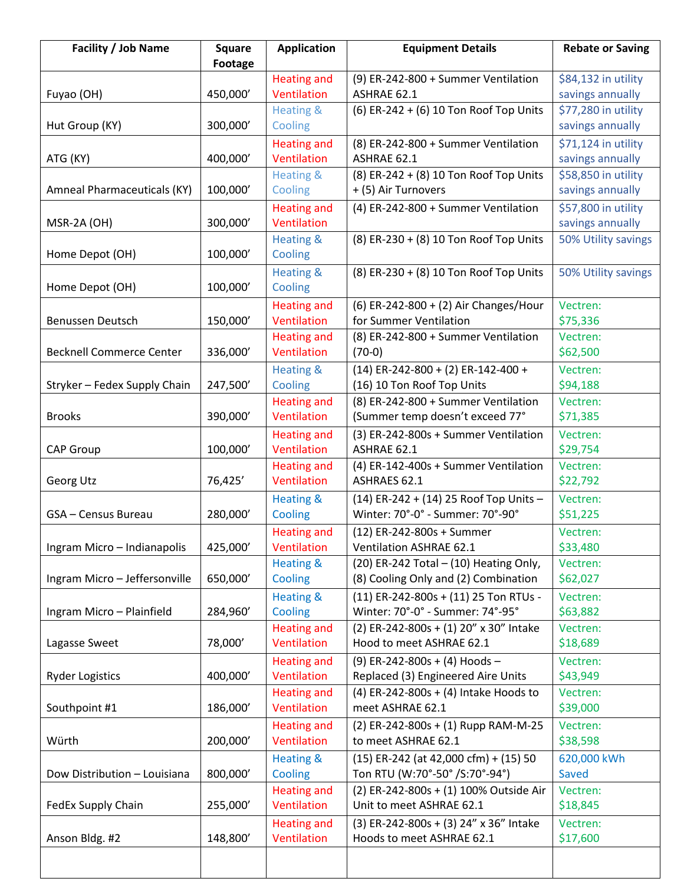| Facility / Job Name             | <b>Square</b> | <b>Application</b>                | <b>Equipment Details</b>                                                 | <b>Rebate or Saving</b>                 |
|---------------------------------|---------------|-----------------------------------|--------------------------------------------------------------------------|-----------------------------------------|
|                                 | Footage       |                                   |                                                                          |                                         |
|                                 | 450,000'      | <b>Heating and</b><br>Ventilation | (9) ER-242-800 + Summer Ventilation<br>ASHRAE 62.1                       | \$84,132 in utility                     |
| Fuyao (OH)                      |               | <b>Heating &amp;</b>              | (6) ER-242 + (6) 10 Ton Roof Top Units                                   | savings annually<br>\$77,280 in utility |
| Hut Group (KY)                  | 300,000'      | Cooling                           |                                                                          | savings annually                        |
|                                 |               | <b>Heating and</b>                | (8) ER-242-800 + Summer Ventilation                                      | \$71,124 in utility                     |
| ATG (KY)                        | 400,000'      | Ventilation                       | ASHRAE 62.1                                                              | savings annually                        |
|                                 |               | Heating &                         | (8) ER-242 + (8) 10 Ton Roof Top Units                                   | \$58,850 in utility                     |
| Amneal Pharmaceuticals (KY)     | 100,000'      | Cooling                           | + (5) Air Turnovers                                                      | savings annually                        |
|                                 |               | <b>Heating and</b>                | (4) ER-242-800 + Summer Ventilation                                      | \$57,800 in utility                     |
| MSR-2A (OH)                     | 300,000'      | Ventilation                       |                                                                          | savings annually                        |
|                                 |               | <b>Heating &amp;</b>              | (8) ER-230 + (8) 10 Ton Roof Top Units                                   | 50% Utility savings                     |
| Home Depot (OH)                 | 100,000'      | Cooling                           |                                                                          |                                         |
|                                 |               | <b>Heating &amp;</b>              | (8) ER-230 + (8) 10 Ton Roof Top Units                                   | 50% Utility savings                     |
| Home Depot (OH)                 | 100,000'      | Cooling                           |                                                                          |                                         |
|                                 |               | <b>Heating and</b>                | (6) ER-242-800 + (2) Air Changes/Hour                                    | Vectren:                                |
| Benussen Deutsch                | 150,000'      | Ventilation                       | for Summer Ventilation                                                   | \$75,336                                |
|                                 |               | <b>Heating and</b>                | (8) ER-242-800 + Summer Ventilation                                      | Vectren:                                |
| <b>Becknell Commerce Center</b> | 336,000'      | Ventilation                       | $(70-0)$                                                                 | \$62,500                                |
|                                 |               | <b>Heating &amp;</b>              | $(14)$ ER-242-800 + (2) ER-142-400 +                                     | Vectren:                                |
| Stryker - Fedex Supply Chain    | 247,500       | Cooling                           | (16) 10 Ton Roof Top Units                                               | \$94,188                                |
|                                 |               | <b>Heating and</b>                | (8) ER-242-800 + Summer Ventilation                                      | Vectren:                                |
| <b>Brooks</b>                   | 390,000'      | Ventilation                       | (Summer temp doesn't exceed 77°                                          | \$71,385                                |
|                                 |               | <b>Heating and</b>                | (3) ER-242-800s + Summer Ventilation                                     | Vectren:                                |
| <b>CAP Group</b>                | 100,000'      | Ventilation                       | ASHRAE 62.1                                                              | \$29,754                                |
|                                 |               | <b>Heating and</b>                | (4) ER-142-400s + Summer Ventilation                                     | Vectren:                                |
| Georg Utz                       | 76,425'       | Ventilation                       | ASHRAES 62.1                                                             | \$22,792                                |
|                                 |               | <b>Heating &amp;</b>              | (14) ER-242 + (14) 25 Roof Top Units -                                   | Vectren:                                |
| GSA - Census Bureau             | 280,000'      | Cooling                           | Winter: 70°-0° - Summer: 70°-90°                                         | \$51,225                                |
|                                 |               | <b>Heating and</b>                | (12) ER-242-800s + Summer                                                | Vectren:                                |
| Ingram Micro - Indianapolis     | 425,000'      | Ventilation<br>Heating &          | <b>Ventilation ASHRAE 62.1</b><br>(20) ER-242 Total - (10) Heating Only, | \$33,480<br>Vectren:                    |
| Ingram Micro - Jeffersonville   | 650,000'      | Cooling                           | (8) Cooling Only and (2) Combination                                     | \$62,027                                |
|                                 |               | <b>Heating &amp;</b>              | (11) ER-242-800s + (11) 25 Ton RTUs -                                    | Vectren:                                |
| Ingram Micro - Plainfield       | 284,960       | Cooling                           | Winter: 70°-0° - Summer: 74°-95°                                         | \$63,882                                |
|                                 |               | <b>Heating and</b>                | (2) ER-242-800s + (1) 20" x 30" Intake                                   | Vectren:                                |
| Lagasse Sweet                   | 78,000'       | Ventilation                       | Hood to meet ASHRAE 62.1                                                 | \$18,689                                |
|                                 |               | <b>Heating and</b>                | (9) ER-242-800s + (4) Hoods -                                            | Vectren:                                |
| <b>Ryder Logistics</b>          | 400,000'      | Ventilation                       | Replaced (3) Engineered Aire Units                                       | \$43,949                                |
|                                 |               | <b>Heating and</b>                | (4) ER-242-800s + (4) Intake Hoods to                                    | Vectren:                                |
| Southpoint #1                   | 186,000'      | Ventilation                       | meet ASHRAE 62.1                                                         | \$39,000                                |
|                                 |               | <b>Heating and</b>                | (2) ER-242-800s + (1) Rupp RAM-M-25                                      | Vectren:                                |
| Würth                           | 200,000'      | Ventilation                       | to meet ASHRAE 62.1                                                      | \$38,598                                |
|                                 |               | <b>Heating &amp;</b>              | (15) ER-242 (at 42,000 cfm) + (15) 50                                    | 620,000 kWh                             |
| Dow Distribution - Louisiana    | 800,000'      | Cooling                           | Ton RTU (W:70°-50° /S:70°-94°)                                           | Saved                                   |
|                                 |               | <b>Heating and</b>                | (2) ER-242-800s + (1) 100% Outside Air                                   | Vectren:                                |
| FedEx Supply Chain              | 255,000'      | Ventilation                       | Unit to meet ASHRAE 62.1                                                 | \$18,845                                |
|                                 |               | <b>Heating and</b>                | (3) ER-242-800s + (3) 24" x 36" Intake                                   | Vectren:                                |
| Anson Bldg. #2                  | 148,800'      | Ventilation                       | Hoods to meet ASHRAE 62.1                                                | \$17,600                                |
|                                 |               |                                   |                                                                          |                                         |
|                                 |               |                                   |                                                                          |                                         |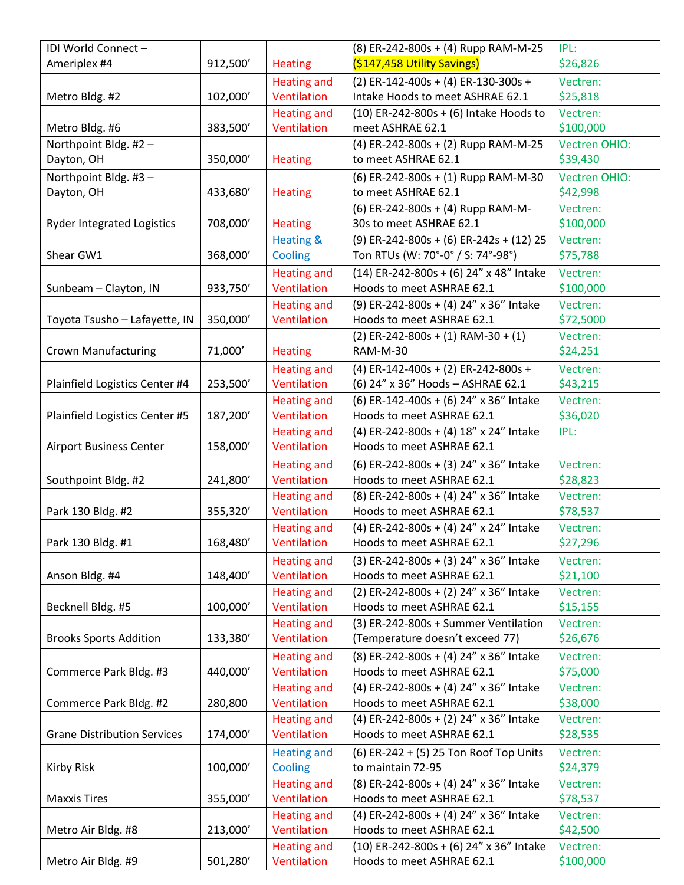| IDI World Connect -                 |          |                                   | (8) ER-242-800s + (4) Rupp RAM-M-25                                            | IPL:                             |
|-------------------------------------|----------|-----------------------------------|--------------------------------------------------------------------------------|----------------------------------|
| Ameriplex #4                        | 912,500' | <b>Heating</b>                    | (\$147,458 Utility Savings)                                                    | \$26,826                         |
|                                     |          | <b>Heating and</b><br>Ventilation | (2) ER-142-400s + (4) ER-130-300s +<br>Intake Hoods to meet ASHRAE 62.1        | Vectren:                         |
| Metro Bldg. #2                      | 102,000' |                                   |                                                                                | \$25,818                         |
|                                     |          | <b>Heating and</b><br>Ventilation | $(10)$ ER-242-800s + (6) Intake Hoods to                                       | Vectren:                         |
| Metro Bldg. #6                      | 383,500  |                                   | meet ASHRAE 62.1                                                               | \$100,000                        |
| Northpoint Bldg. #2 -<br>Dayton, OH | 350,000' | <b>Heating</b>                    | (4) ER-242-800s + (2) Rupp RAM-M-25<br>to meet ASHRAE 62.1                     | <b>Vectren OHIO:</b><br>\$39,430 |
|                                     |          |                                   |                                                                                |                                  |
| Northpoint Bldg. #3 -               |          |                                   | (6) ER-242-800s + (1) Rupp RAM-M-30                                            | <b>Vectren OHIO:</b>             |
| Dayton, OH                          | 433,680' | <b>Heating</b>                    | to meet ASHRAE 62.1                                                            | \$42,998                         |
|                                     |          |                                   | (6) ER-242-800s + (4) Rupp RAM-M-<br>30s to meet ASHRAE 62.1                   | Vectren:<br>\$100,000            |
| <b>Ryder Integrated Logistics</b>   | 708,000' | <b>Heating</b>                    |                                                                                |                                  |
| Shear GW1                           | 368,000' | <b>Heating &amp;</b><br>Cooling   | $(9)$ ER-242-800s + (6) ER-242s + (12) 25<br>Ton RTUs (W: 70°-0° / S: 74°-98°) | Vectren:<br>\$75,788             |
|                                     |          |                                   |                                                                                |                                  |
|                                     |          | <b>Heating and</b>                | (14) ER-242-800s + (6) 24" x 48" Intake                                        | Vectren:                         |
| Sunbeam - Clayton, IN               | 933,750  | Ventilation                       | Hoods to meet ASHRAE 62.1                                                      | \$100,000                        |
|                                     |          | <b>Heating and</b>                | (9) ER-242-800s + (4) 24" x 36" Intake                                         | Vectren:                         |
| Toyota Tsusho - Lafayette, IN       | 350,000' | Ventilation                       | Hoods to meet ASHRAE 62.1                                                      | \$72,5000                        |
|                                     |          |                                   | $(2)$ ER-242-800s + $(1)$ RAM-30 + $(1)$                                       | Vectren:                         |
| <b>Crown Manufacturing</b>          | 71,000'  | <b>Heating</b>                    | RAM-M-30                                                                       | \$24,251                         |
|                                     |          | <b>Heating and</b>                | (4) ER-142-400s + (2) ER-242-800s +                                            | Vectren:                         |
| Plainfield Logistics Center #4      | 253,500  | Ventilation                       | (6) 24" x 36" Hoods - ASHRAE 62.1                                              | \$43,215                         |
|                                     |          | <b>Heating and</b>                | (6) ER-142-400s + (6) 24" x 36" Intake                                         | Vectren:                         |
| Plainfield Logistics Center #5      | 187,200' | Ventilation                       | Hoods to meet ASHRAE 62.1                                                      | \$36,020                         |
|                                     |          | <b>Heating and</b>                | (4) ER-242-800s + (4) 18" x 24" Intake                                         | IPL:                             |
| <b>Airport Business Center</b>      | 158,000' | Ventilation                       | Hoods to meet ASHRAE 62.1                                                      |                                  |
|                                     |          | <b>Heating and</b>                | (6) ER-242-800s + (3) 24" x 36" Intake                                         | Vectren:                         |
| Southpoint Bldg. #2                 | 241,800' | Ventilation                       | Hoods to meet ASHRAE 62.1                                                      | \$28,823                         |
|                                     |          | <b>Heating and</b>                | (8) ER-242-800s + (4) 24" x 36" Intake                                         | Vectren:                         |
| Park 130 Bldg. #2                   | 355,320' | Ventilation                       | Hoods to meet ASHRAE 62.1                                                      | \$78,537                         |
|                                     |          | <b>Heating and</b>                | (4) ER-242-800s + (4) 24" x 24" Intake                                         | Vectren:                         |
| Park 130 Bldg. #1                   | 168,480  | Ventilation                       | Hoods to meet ASHRAE 62.1                                                      | \$27,296                         |
|                                     |          | <b>Heating and</b>                | (3) ER-242-800s + (3) 24" x 36" Intake                                         | Vectren:                         |
| Anson Bldg. #4                      | 148,400' | Ventilation                       | Hoods to meet ASHRAE 62.1                                                      | \$21,100                         |
|                                     |          | <b>Heating and</b>                | (2) ER-242-800s + (2) 24" x 36" Intake                                         | Vectren:                         |
| Becknell Bldg. #5                   | 100,000' | Ventilation                       | Hoods to meet ASHRAE 62.1                                                      | \$15,155                         |
|                                     |          | <b>Heating and</b>                | (3) ER-242-800s + Summer Ventilation                                           | Vectren:                         |
| <b>Brooks Sports Addition</b>       | 133,380' | Ventilation                       | (Temperature doesn't exceed 77)                                                | \$26,676                         |
|                                     |          | <b>Heating and</b>                | (8) ER-242-800s + (4) 24" x 36" Intake                                         | Vectren:                         |
| Commerce Park Bldg. #3              | 440,000' | Ventilation                       | Hoods to meet ASHRAE 62.1                                                      | \$75,000                         |
|                                     |          | <b>Heating and</b>                | (4) ER-242-800s + (4) 24" x 36" Intake                                         | Vectren:                         |
| Commerce Park Bldg. #2              | 280,800  | Ventilation                       | Hoods to meet ASHRAE 62.1                                                      | \$38,000                         |
|                                     |          | <b>Heating and</b>                | (4) ER-242-800s + (2) 24" x 36" Intake                                         | Vectren:                         |
| <b>Grane Distribution Services</b>  | 174,000' | Ventilation                       | Hoods to meet ASHRAE 62.1                                                      | \$28,535                         |
|                                     |          | <b>Heating and</b>                | (6) ER-242 + (5) 25 Ton Roof Top Units                                         | Vectren:                         |
| <b>Kirby Risk</b>                   | 100,000' | Cooling                           | to maintain 72-95                                                              | \$24,379                         |
|                                     |          | <b>Heating and</b>                | (8) ER-242-800s + (4) 24" x 36" Intake                                         | Vectren:                         |
| <b>Maxxis Tires</b>                 | 355,000' | Ventilation                       | Hoods to meet ASHRAE 62.1                                                      | \$78,537                         |
|                                     |          | <b>Heating and</b>                | (4) ER-242-800s + (4) 24" x 36" Intake                                         | Vectren:                         |
| Metro Air Bldg. #8                  | 213,000' | Ventilation                       | Hoods to meet ASHRAE 62.1                                                      | \$42,500                         |
|                                     |          | <b>Heating and</b>                | (10) ER-242-800s + (6) 24" x 36" Intake                                        | Vectren:                         |
| Metro Air Bldg. #9                  | 501,280' | Ventilation                       | Hoods to meet ASHRAE 62.1                                                      | \$100,000                        |